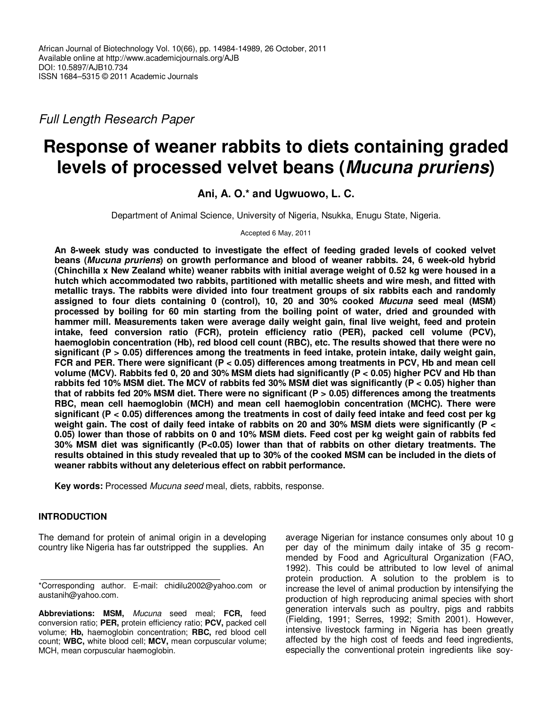Full Length Research Paper

# **Response of weaner rabbits to diets containing graded levels of processed velvet beans (Mucuna pruriens)**

**Ani, A. O.\* and Ugwuowo, L. C.** 

Department of Animal Science, University of Nigeria, Nsukka, Enugu State, Nigeria.

Accepted 6 May, 2011

**An 8-week study was conducted to investigate the effect of feeding graded levels of cooked velvet beans (Mucuna pruriens) on growth performance and blood of weaner rabbits. 24, 6 week-old hybrid (Chinchilla x New Zealand white) weaner rabbits with initial average weight of 0.52 kg were housed in a hutch which accommodated two rabbits, partitioned with metallic sheets and wire mesh, and fitted with metallic trays. The rabbits were divided into four treatment groups of six rabbits each and randomly assigned to four diets containing 0 (control), 10, 20 and 30% cooked Mucuna seed meal (MSM) processed by boiling for 60 min starting from the boiling point of water, dried and grounded with hammer mill. Measurements taken were average daily weight gain, final live weight, feed and protein intake, feed conversion ratio (FCR), protein efficiency ratio (PER), packed cell volume (PCV), haemoglobin concentration (Hb), red blood cell count (RBC), etc. The results showed that there were no significant (P > 0.05) differences among the treatments in feed intake, protein intake, daily weight gain, FCR and PER. There were significant (P < 0.05) differences among treatments in PCV, Hb and mean cell volume (MCV). Rabbits fed 0, 20 and 30% MSM diets had significantly (P < 0.05) higher PCV and Hb than rabbits fed 10% MSM diet. The MCV of rabbits fed 30% MSM diet was significantly (P < 0.05) higher than that of rabbits fed 20% MSM diet. There were no significant (P > 0.05) differences among the treatments RBC, mean cell haemoglobin (MCH) and mean cell haemoglobin concentration (MCHC). There were significant (P < 0.05) differences among the treatments in cost of daily feed intake and feed cost per kg weight gain. The cost of daily feed intake of rabbits on 20 and 30% MSM diets were significantly (P < 0.05) lower than those of rabbits on 0 and 10% MSM diets. Feed cost per kg weight gain of rabbits fed 30% MSM diet was significantly (P<0.05) lower than that of rabbits on other dietary treatments. The results obtained in this study revealed that up to 30% of the cooked MSM can be included in the diets of weaner rabbits without any deleterious effect on rabbit performance.** 

**Key words:** Processed Mucuna seed meal, diets, rabbits, response.

## **INTRODUCTION**

The demand for protein of animal origin in a developing country like Nigeria has far outstripped the supplies. An

average Nigerian for instance consumes only about 10 g per day of the minimum daily intake of 35 g recommended by Food and Agricultural Organization (FAO, 1992). This could be attributed to low level of animal protein production. A solution to the problem is to increase the level of animal production by intensifying the production of high reproducing animal species with short generation intervals such as poultry, pigs and rabbits (Fielding, 1991; Serres, 1992; Smith 2001). However, intensive livestock farming in Nigeria has been greatly affected by the high cost of feeds and feed ingredients, especially the conventional protein ingredients like soy-

<sup>\*</sup>Corresponding author. E-mail: chidilu2002@yahoo.com or austanih@yahoo.com.

**Abbreviations: MSM,** Mucuna seed meal; **FCR,** feed conversion ratio; **PER,** protein efficiency ratio; **PCV,** packed cell volume; **Hb,** haemoglobin concentration; **RBC,** red blood cell count; **WBC,** white blood cell; **MCV,** mean corpuscular volume; MCH, mean corpuscular haemoglobin.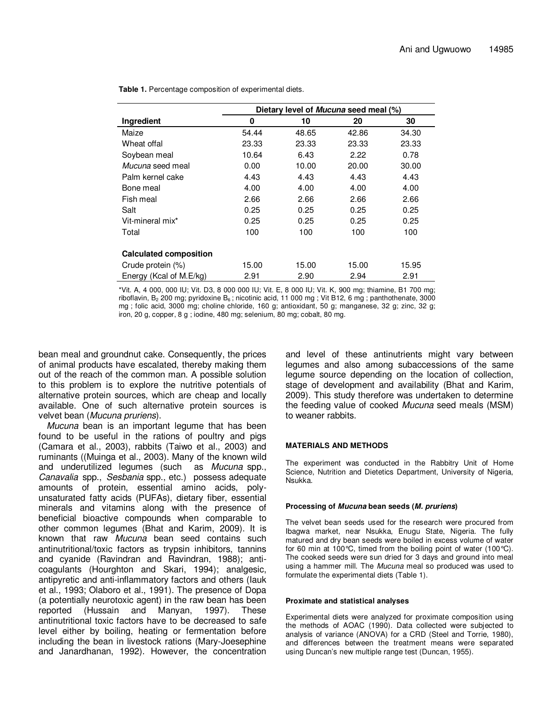|                               | Dietary level of Mucuna seed meal (%) |       |       |       |  |
|-------------------------------|---------------------------------------|-------|-------|-------|--|
| Ingredient                    | 0                                     | 10    | 20    | 30    |  |
| Maize                         | 54.44                                 | 48.65 | 42.86 | 34.30 |  |
| Wheat offal                   | 23.33                                 | 23.33 | 23.33 | 23.33 |  |
| Soybean meal                  | 10.64                                 | 6.43  | 2.22  | 0.78  |  |
| Mucuna seed meal              | 0.00                                  | 10.00 | 20.00 | 30.00 |  |
| Palm kernel cake              | 4.43                                  | 4.43  | 4.43  | 4.43  |  |
| Bone meal                     | 4.00                                  | 4.00  | 4.00  | 4.00  |  |
| Fish meal                     | 2.66                                  | 2.66  | 2.66  | 2.66  |  |
| Salt                          | 0.25                                  | 0.25  | 0.25  | 0.25  |  |
| Vit-mineral mix*              | 0.25                                  | 0.25  | 0.25  | 0.25  |  |
| Total                         | 100                                   | 100   | 100   | 100   |  |
| <b>Calculated composition</b> |                                       |       |       |       |  |
| Crude protein (%)             | 15.00                                 | 15.00 | 15.00 | 15.95 |  |
| Energy (Kcal of M.E/kg)       | 2.91                                  | 2.90  | 2.94  | 2.91  |  |

**Table 1.** Percentage composition of experimental diets.

\*Vit. A, 4 000, 000 IU; Vit. D3, 8 000 000 IU; Vit. E, 8 000 IU; Vit. K, 900 mg; thiamine, B1 700 mg; riboflavin,  $B_2$  200 mg; pyridoxine  $B_6$ ; nicotinic acid, 11 000 mg; Vit B12, 6 mg; panthothenate, 3000 mg ; folic acid, 3000 mg; choline chloride, 160 g; antioxidant, 50 g; manganese, 32 g; zinc, 32 g; iron, 20 g, copper, 8 g ; iodine, 480 mg; selenium, 80 mg; cobalt, 80 mg.

bean meal and groundnut cake. Consequently, the prices of animal products have escalated, thereby making them out of the reach of the common man. A possible solution to this problem is to explore the nutritive potentials of alternative protein sources, which are cheap and locally available. One of such alternative protein sources is velvet bean (Mucuna pruriens).

Mucuna bean is an important legume that has been found to be useful in the rations of poultry and pigs (Camara et al., 2003), rabbits (Taiwo et al., 2003) and ruminants ((Muinga et al., 2003). Many of the known wild and underutilized legumes (such as Mucuna spp., Canavalia spp., Sesbania spp., etc.) possess adequate amounts of protein, essential amino acids, polyunsaturated fatty acids (PUFAs), dietary fiber, essential minerals and vitamins along with the presence of beneficial bioactive compounds when comparable to other common legumes (Bhat and Karim, 2009). It is known that raw Mucuna bean seed contains such antinutritional/toxic factors as trypsin inhibitors, tannins and cyanide (Ravindran and Ravindran, 1988); anticoagulants (Hourghton and Skari, 1994); analgesic, antipyretic and anti-inflammatory factors and others (Iauk et al., 1993; Olaboro et al., 1991). The presence of Dopa (a potentially neurotoxic agent) in the raw bean has been reported (Hussain and Manyan, 1997). These antinutritional toxic factors have to be decreased to safe level either by boiling, heating or fermentation before including the bean in livestock rations (Mary-Joesephine and Janardhanan, 1992). However, the concentration and level of these antinutrients might vary between legumes and also among subaccessions of the same legume source depending on the location of collection, stage of development and availability (Bhat and Karim, 2009). This study therefore was undertaken to determine the feeding value of cooked Mucuna seed meals (MSM) to weaner rabbits.

#### **MATERIALS AND METHODS**

The experiment was conducted in the Rabbitry Unit of Home Science, Nutrition and Dietetics Department, University of Nigeria, Nsukka.

#### **Processing of Mucuna bean seeds (M. pruriens)**

The velvet bean seeds used for the research were procured from Ibagwa market, near Nsukka, Enugu State, Nigeria. The fully matured and dry bean seeds were boiled in excess volume of water for 60 min at 100°C, timed from the boiling point of water (100°C). The cooked seeds were sun dried for 3 days and ground into meal using a hammer mill. The Mucuna meal so produced was used to formulate the experimental diets (Table 1).

#### **Proximate and statistical analyses**

Experimental diets were analyzed for proximate composition using the methods of AOAC (1990). Data collected were subjected to analysis of variance (ANOVA) for a CRD (Steel and Torrie, 1980), and differences between the treatment means were separated using Duncan's new multiple range test (Duncan, 1955).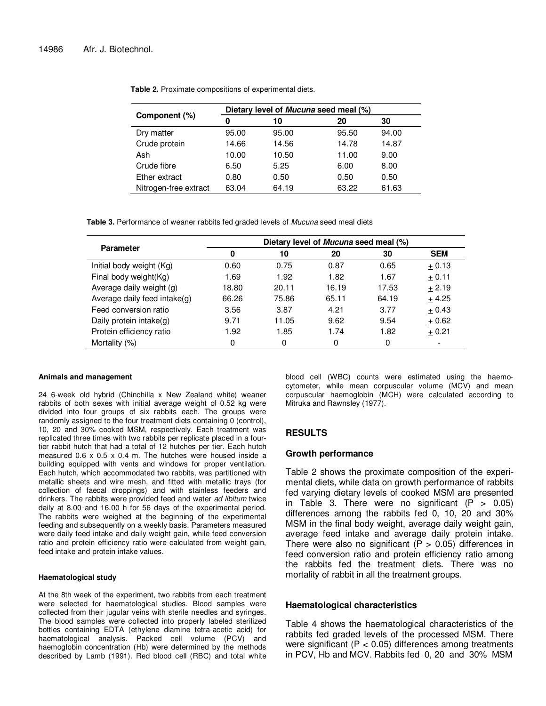|                       | Dietary level of <i>Mucuna</i> seed meal (%) |       |       |       |  |  |
|-----------------------|----------------------------------------------|-------|-------|-------|--|--|
| Component (%)         | 0                                            | 10    | 20    | 30    |  |  |
| Dry matter            | 95.00                                        | 95.00 | 95.50 | 94.00 |  |  |
| Crude protein         | 14.66                                        | 14.56 | 14.78 | 14.87 |  |  |
| Ash                   | 10.00                                        | 10.50 | 11.00 | 9.00  |  |  |
| Crude fibre           | 6.50                                         | 5.25  | 6.00  | 8.00  |  |  |
| Ether extract         | 0.80                                         | 0.50  | 0.50  | 0.50  |  |  |
| Nitrogen-free extract | 63.04                                        | 64.19 | 63.22 | 61.63 |  |  |

**Table 2.** Proximate compositions of experimental diets.

**Table 3.** Performance of weaner rabbits fed graded levels of Mucuna seed meal diets

| <b>Parameter</b>             | Dietary level of <i>Mucuna</i> seed meal (%) |       |       |       |            |  |
|------------------------------|----------------------------------------------|-------|-------|-------|------------|--|
|                              | 0                                            | 10    | 20    | 30    | <b>SEM</b> |  |
| Initial body weight (Kg)     | 0.60                                         | 0.75  | 0.87  | 0.65  | $+0.13$    |  |
| Final body weight(Kg)        | 1.69                                         | 1.92  | 1.82  | 1.67  | $+0.11$    |  |
| Average daily weight (g)     | 18.80                                        | 20.11 | 16.19 | 17.53 | $+2.19$    |  |
| Average daily feed intake(g) | 66.26                                        | 75.86 | 65.11 | 64.19 | $+4.25$    |  |
| Feed conversion ratio        | 3.56                                         | 3.87  | 4.21  | 3.77  | $+0.43$    |  |
| Daily protein intake(g)      | 9.71                                         | 11.05 | 9.62  | 9.54  | $+0.62$    |  |
| Protein efficiency ratio     | 1.92                                         | 1.85  | 1.74  | 1.82  | $+0.21$    |  |
| Mortality (%)                | 0                                            | 0     | 0     | 0     |            |  |

#### **Animals and management**

24 6-week old hybrid (Chinchilla x New Zealand white) weaner rabbits of both sexes with initial average weight of 0.52 kg were divided into four groups of six rabbits each. The groups were randomly assigned to the four treatment diets containing 0 (control), 10, 20 and 30% cooked MSM, respectively. Each treatment was replicated three times with two rabbits per replicate placed in a fourtier rabbit hutch that had a total of 12 hutches per tier. Each hutch measured 0.6 x 0.5 x 0.4 m. The hutches were housed inside a building equipped with vents and windows for proper ventilation. Each hutch, which accommodated two rabbits, was partitioned with metallic sheets and wire mesh, and fitted with metallic trays (for collection of faecal droppings) and with stainless feeders and drinkers. The rabbits were provided feed and water ad libitum twice daily at 8.00 and 16.00 h for 56 days of the experimental period. The rabbits were weighed at the beginning of the experimental feeding and subsequently on a weekly basis. Parameters measured were daily feed intake and daily weight gain, while feed conversion ratio and protein efficiency ratio were calculated from weight gain, feed intake and protein intake values.

#### **Haematological study**

At the 8th week of the experiment, two rabbits from each treatment were selected for haematological studies. Blood samples were collected from their jugular veins with sterile needles and syringes. The blood samples were collected into properly labeled sterilized bottles containing EDTA (ethylene diamine tetra-acetic acid) for haematological analysis. Packed cell volume (PCV) and haemoglobin concentration (Hb) were determined by the methods described by Lamb (1991). Red blood cell (RBC) and total white

blood cell (WBC) counts were estimated using the haemocytometer, while mean corpuscular volume (MCV) and mean corpuscular haemoglobin (MCH) were calculated according to Mitruka and Rawnsley (1977).

### **RESULTS**

#### **Growth performance**

Table 2 shows the proximate composition of the experimental diets, while data on growth performance of rabbits fed varying dietary levels of cooked MSM are presented in Table 3. There were no significant  $(P > 0.05)$ differences among the rabbits fed 0, 10, 20 and 30% MSM in the final body weight, average daily weight gain, average feed intake and average daily protein intake. There were also no significant ( $P > 0.05$ ) differences in feed conversion ratio and protein efficiency ratio among the rabbits fed the treatment diets. There was no mortality of rabbit in all the treatment groups.

#### **Haematological characteristics**

Table 4 shows the haematological characteristics of the rabbits fed graded levels of the processed MSM. There were significant ( $P < 0.05$ ) differences among treatments in PCV, Hb and MCV. Rabbits fed 0, 20 and 30% MSM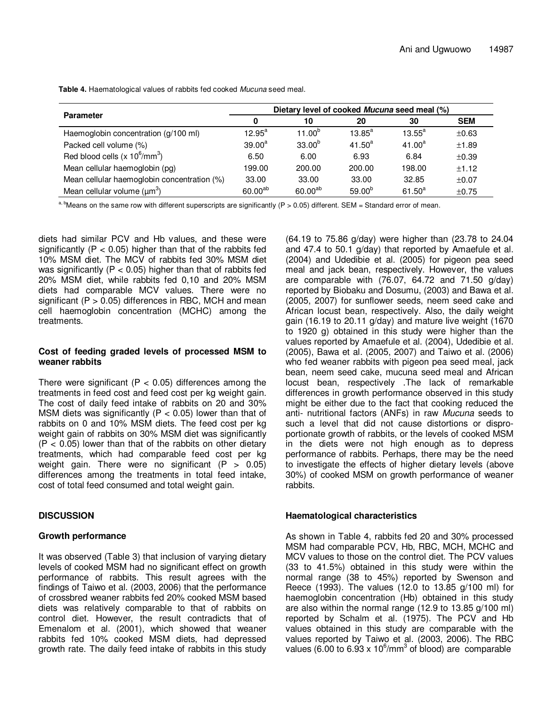|                                              | Dietary level of cooked Mucuna seed meal (%) |              |             |                    |            |
|----------------------------------------------|----------------------------------------------|--------------|-------------|--------------------|------------|
| <b>Parameter</b>                             |                                              | 10           | 20          | 30                 | <b>SEM</b> |
| Haemoglobin concentration (g/100 ml)         | $12.95^a$                                    | $11.00^{b}$  | $13.85^a$   | $13.55^a$          | $\pm 0.63$ |
| Packed cell volume (%)                       | $39.00^a$                                    | $33.00^{b}$  | $41.50^{a}$ | 41.00 <sup>a</sup> | ±1.89      |
| Red blood cells (x $10^6$ /mm <sup>3</sup> ) | 6.50                                         | 6.00         | 6.93        | 6.84               | $\pm 0.39$ |
| Mean cellular haemoglobin (pg)               | 199.00                                       | 200.00       | 200.00      | 198.00             | ±1.12      |
| Mean cellular haemoglobin concentration (%)  | 33.00                                        | 33.00        | 33.00       | 32.85              | ±0.07      |
| Mean cellular volume $(\mu m^3)$             | 60.00ab                                      | $60.00^{ab}$ | $59.00^{b}$ | $61.50^{a}$        | ±0.75      |

**Table 4.** Haematological values of rabbits fed cooked Mucuna seed meal.

 $a, b$ Means on the same row with different superscripts are significantly (P > 0.05) different. SEM = Standard error of mean.

diets had similar PCV and Hb values, and these were significantly ( $P < 0.05$ ) higher than that of the rabbits fed 10% MSM diet. The MCV of rabbits fed 30% MSM diet was significantly ( $P < 0.05$ ) higher than that of rabbits fed 20% MSM diet, while rabbits fed 0,10 and 20% MSM diets had comparable MCV values. There were no significant ( $P > 0.05$ ) differences in RBC, MCH and mean cell haemoglobin concentration (MCHC) among the treatments.

## **Cost of feeding graded levels of processed MSM to weaner rabbits**

There were significant ( $P < 0.05$ ) differences among the treatments in feed cost and feed cost per kg weight gain. The cost of daily feed intake of rabbits on 20 and 30% MSM diets was significantly ( $P < 0.05$ ) lower than that of rabbits on 0 and 10% MSM diets. The feed cost per kg weight gain of rabbits on 30% MSM diet was significantly  $(P < 0.05)$  lower than that of the rabbits on other dietary treatments, which had comparable feed cost per kg weight gain. There were no significant  $(P > 0.05)$ differences among the treatments in total feed intake, cost of total feed consumed and total weight gain.

## **DISCUSSION**

## **Growth performance**

It was observed (Table 3) that inclusion of varying dietary levels of cooked MSM had no significant effect on growth performance of rabbits. This result agrees with the findings of Taiwo et al. (2003, 2006) that the performance of crossbred weaner rabbits fed 20% cooked MSM based diets was relatively comparable to that of rabbits on control diet. However, the result contradicts that of Emenalom et al. (2001), which showed that weaner rabbits fed 10% cooked MSM diets, had depressed growth rate. The daily feed intake of rabbits in this study

(64.19 to 75.86 g/day) were higher than (23.78 to 24.04 and 47.4 to 50.1 g/day) that reported by Amaefule et al. (2004) and Udedibie et al. (2005) for pigeon pea seed meal and jack bean, respectively. However, the values are comparable with (76.07, 64.72 and 71.50 g/day) reported by Biobaku and Dosumu, (2003) and Bawa et al. (2005, 2007) for sunflower seeds, neem seed cake and African locust bean, respectively. Also, the daily weight gain (16.19 to 20.11 g/day) and mature live weight (1670 to 1920 g) obtained in this study were higher than the values reported by Amaefule et al. (2004), Udedibie et al. (2005), Bawa et al. (2005, 2007) and Taiwo et al. (2006) who fed weaner rabbits with pigeon pea seed meal, jack bean, neem seed cake, mucuna seed meal and African locust bean, respectively .The lack of remarkable differences in growth performance observed in this study might be either due to the fact that cooking reduced the anti- nutritional factors (ANFs) in raw Mucuna seeds to such a level that did not cause distortions or disproportionate growth of rabbits, or the levels of cooked MSM in the diets were not high enough as to depress performance of rabbits. Perhaps, there may be the need to investigate the effects of higher dietary levels (above 30%) of cooked MSM on growth performance of weaner rabbits.

## **Haematological characteristics**

As shown in Table 4, rabbits fed 20 and 30% processed MSM had comparable PCV, Hb, RBC, MCH, MCHC and MCV values to those on the control diet. The PCV values (33 to 41.5%) obtained in this study were within the normal range (38 to 45%) reported by Swenson and Reece (1993). The values (12.0 to 13.85 g/100 ml) for haemoglobin concentration (Hb) obtained in this study are also within the normal range (12.9 to 13.85 g/100 ml) reported by Schalm et al. (1975). The PCV and Hb values obtained in this study are comparable with the values reported by Taiwo et al. (2003, 2006). The RBC values (6.00 to 6.93 x 10 $^{6}$ /mm<sup>3</sup> of blood) are comparable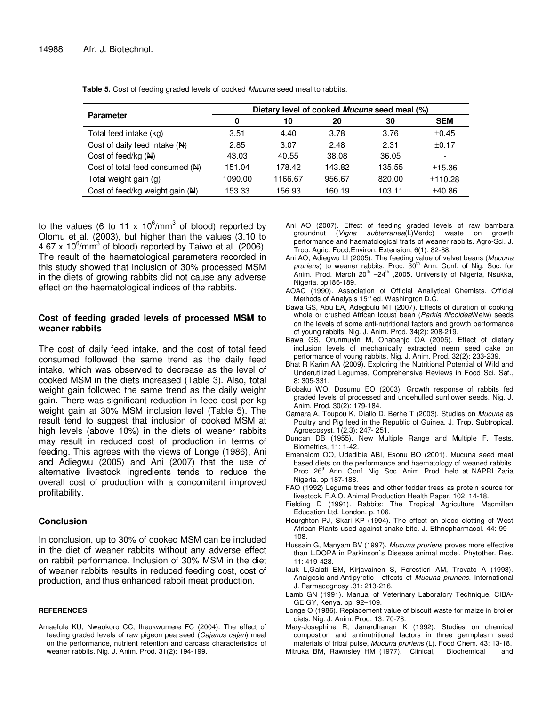| <b>Parameter</b>                  | Dietary level of cooked <i>Mucuna</i> seed meal (%) |         |        |        |            |  |
|-----------------------------------|-----------------------------------------------------|---------|--------|--------|------------|--|
|                                   | 0                                                   | 10      | 20     | 30     | <b>SEM</b> |  |
| Total feed intake (kg)            | 3.51                                                | 4.40    | 3.78   | 3.76   | ±0.45      |  |
| Cost of daily feed intake (N)     | 2.85                                                | 3.07    | 2.48   | 2.31   | ±0.17      |  |
| Cost of feed/kg $(M)$             | 43.03                                               | 40.55   | 38.08  | 36.05  |            |  |
| Cost of total feed consumed $(M)$ | 151.04                                              | 178.42  | 143.82 | 135.55 | ±15.36     |  |
| Total weight gain (g)             | 1090.00                                             | 1166.67 | 956.67 | 820.00 | ±110.28    |  |
| Cost of feed/kg weight gain (N)   | 153.33                                              | 156.93  | 160.19 | 103.11 | ±40.86     |  |

**Table 5.** Cost of feeding graded levels of cooked Mucuna seed meal to rabbits.

to the values (6 to 11 x 10 $^6$ /mm $^3$  of blood) reported by Olomu et al. (2003), but higher than the values (3.10 to 4.67 x 10 $^{6}$ /mm<sup>3</sup> of blood) reported by Taiwo et al. (2006). The result of the haematological parameters recorded in this study showed that inclusion of 30% processed MSM in the diets of growing rabbits did not cause any adverse effect on the haematological indices of the rabbits.

## **Cost of feeding graded levels of processed MSM to weaner rabbits**

The cost of daily feed intake, and the cost of total feed consumed followed the same trend as the daily feed intake, which was observed to decrease as the level of cooked MSM in the diets increased (Table 3). Also, total weight gain followed the same trend as the daily weight gain. There was significant reduction in feed cost per kg weight gain at 30% MSM inclusion level (Table 5). The result tend to suggest that inclusion of cooked MSM at high levels (above 10%) in the diets of weaner rabbits may result in reduced cost of production in terms of feeding. This agrees with the views of Longe (1986), Ani and Adiegwu (2005) and Ani (2007) that the use of alternative livestock ingredients tends to reduce the overall cost of production with a concomitant improved profitability.

## **Conclusion**

In conclusion, up to 30% of cooked MSM can be included in the diet of weaner rabbits without any adverse effect on rabbit performance. Inclusion of 30% MSM in the diet of weaner rabbits results in reduced feeding cost, cost of production, and thus enhanced rabbit meat production.

### **REFERENCES**

Amaefule KU, Nwaokoro CC, Iheukwumere FC (2004). The effect of feeding graded levels of raw pigeon pea seed (Cajanus cajan) meal on the performance, nutrient retention and carcass characteristics of weaner rabbits. Nig. J. Anim. Prod. 31(2): 194-199.

- Ani AO (2007). Effect of feeding graded levels of raw bambara groundnut (Vigna subterranea(L)Verdc) waste on growth performance and haematological traits of weaner rabbits. Agro-Sci. J. Trop. Agric. Food,Environ. Extension, 6(1): 82-88.
- Ani AO, Adiegwu LI (2005). The feeding value of velvet beans (Mucuna  $pruriens$ ) to weaner rabbits. Proc.  $30<sup>th</sup>$  Ann. Conf. of Nig. Soc. for Anim. Prod. March  $20^{th}$  -24<sup>th</sup> ,2005. University of Nigeria, Nsukka, Nigeria. pp186-189.
- AOAC (1990). Association of Official Anallytical Chemists. Official Methods of Analysis 15<sup>th</sup> ed. Washington D.C.
- Bawa GS, Abu EA, Adegbulu MT (2007). Effects of duration of cooking whole or crushed African locust bean (Parkia filicoideaWelw) seeds on the levels of some anti-nutritional factors and growth performance of young rabbits. Nig. J. Anim. Prod. 34(2): 208-219.
- Bawa GS, Orunmuyin M, Onabanjo OA (2005). Effect of dietary inclusion levels of mechanically extracted neem seed cake on performance of young rabbits. Nig. J. Anim. Prod. 32(2): 233-239.
- Bhat R Karim AA (2009). Exploring the Nutritional Potential of Wild and Underutilized Legumes, Comprehensive Reviews in Food Sci. Saf., 8: 305-331.
- Biobaku WO, Dosumu EO (2003). Growth response of rabbits fed graded levels of processed and undehulled sunflower seeds. Nig. J. Anim. Prod. 30(2): 179-184.
- Camara A, Toupou K, Diallo D, Berhe T (2003). Studies on Mucuna as Poultry and Pig feed in the Republic of Guinea. J. Trop. Subtropical. Agroecosyst. 1(2,3): 247- 251.
- Duncan DB (1955). New Multiple Range and Multiple F. Tests. Biometrics, 11: 1-42.
- Emenalom OO, Udedibie ABI, Esonu BO (2001). Mucuna seed meal based diets on the performance and haematology of weaned rabbits. Proc. 26<sup>th</sup> Ann. Conf. Nig. Soc. Anim. Prod. held at NAPRI Zaria Nigeria. pp.187-188.
- FAO (1992) Legume trees and other fodder trees as protein source for livestock. F.A.O. Animal Production Health Paper, 102: 14-18.
- Fielding D (1991). Rabbits: The Tropical Agriculture Macmillan Education Ltd. London. p. 106.
- Hourghton PJ, Skari KP (1994). The effect on blood clotting of West African Plants used against snake bite. J. Ethnopharmacol. 44: 99 – 108.
- Hussain G, Manyam BV (1997). Mucuna pruriens proves more effective than L.DOPA in Parkinson`s Disease animal model. Phytother. Res. 11: 419-423.
- Iauk L,Galati EM, Kirjavainen S, Forestieri AM, Trovato A (1993). Analgesic and Antipyretic effects of Mucuna pruriens. International J. Parmacognosy ,31: 213-216.
- Lamb GN (1991). Manual of Veterinary Laboratory Technique. CIBA-GEIGY, Kenya. pp. 92–109.
- Longe O (1986). Replacement value of biscuit waste for maize in broiler diets. Nig. J. Anim. Prod. 13: 70-78.
- Mary-Josephine R, Janardhanan K (1992). Studies on chemical compostion and antinutritional factors in three germplasm seed materials of tribal pulse, Mucuna pruriens (L). Food Chem. 43: 13-18.
- Mitruka BM, Rawnsley HM (1977). Clinical, Biochemical and